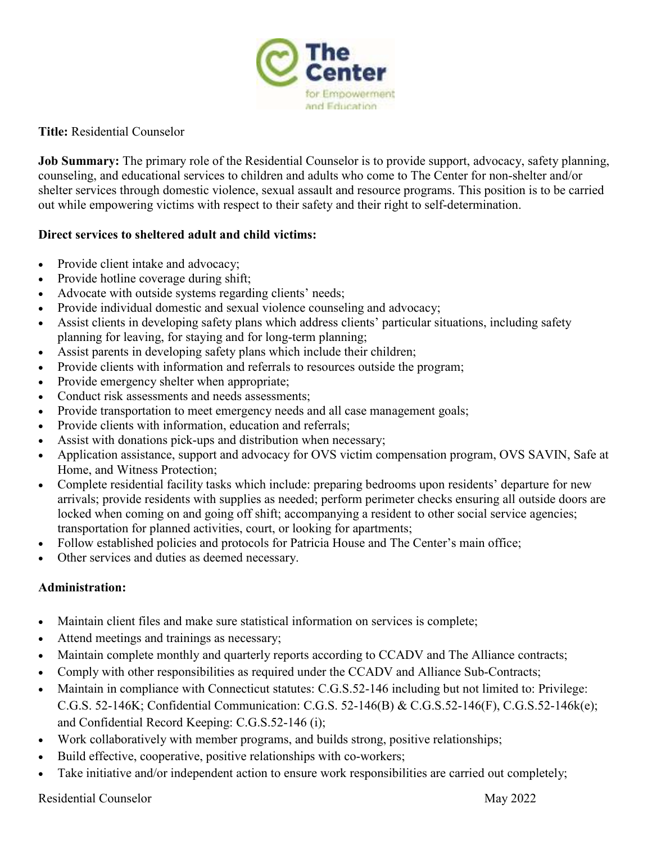

**Title:** Residential Counselor

**Job Summary:** The primary role of the Residential Counselor is to provide support, advocacy, safety planning, counseling, and educational services to children and adults who come to The Center for non-shelter and/or shelter services through domestic violence, sexual assault and resource programs. This position is to be carried out while empowering victims with respect to their safety and their right to self-determination.

## **Direct services to sheltered adult and child victims:**

- Provide client intake and advocacy;
- Provide hotline coverage during shift;
- Advocate with outside systems regarding clients' needs;
- Provide individual domestic and sexual violence counseling and advocacy;
- Assist clients in developing safety plans which address clients' particular situations, including safety planning for leaving, for staying and for long-term planning;
- Assist parents in developing safety plans which include their children;
- Provide clients with information and referrals to resources outside the program;
- Provide emergency shelter when appropriate;
- Conduct risk assessments and needs assessments;
- Provide transportation to meet emergency needs and all case management goals;
- Provide clients with information, education and referrals;
- Assist with donations pick-ups and distribution when necessary;
- Application assistance, support and advocacy for OVS victim compensation program, OVS SAVIN, Safe at Home, and Witness Protection;
- Complete residential facility tasks which include: preparing bedrooms upon residents' departure for new arrivals; provide residents with supplies as needed; perform perimeter checks ensuring all outside doors are locked when coming on and going off shift; accompanying a resident to other social service agencies; transportation for planned activities, court, or looking for apartments;
- Follow established policies and protocols for Patricia House and The Center's main office;
- Other services and duties as deemed necessary.

## **Administration:**

- Maintain client files and make sure statistical information on services is complete;
- Attend meetings and trainings as necessary;
- Maintain complete monthly and quarterly reports according to CCADV and The Alliance contracts;
- Comply with other responsibilities as required under the CCADV and Alliance Sub-Contracts;
- Maintain in compliance with Connecticut statutes: C.G.S.52-146 including but not limited to: Privilege: C.G.S. 52-146K; Confidential Communication: C.G.S. 52-146(B) & C.G.S.52-146(F), C.G.S.52-146k(e); and Confidential Record Keeping: C.G.S.52-146 (i);
- Work collaboratively with member programs, and builds strong, positive relationships;
- Build effective, cooperative, positive relationships with co-workers;
- Take initiative and/or independent action to ensure work responsibilities are carried out completely;

Residential Counselor May 2022